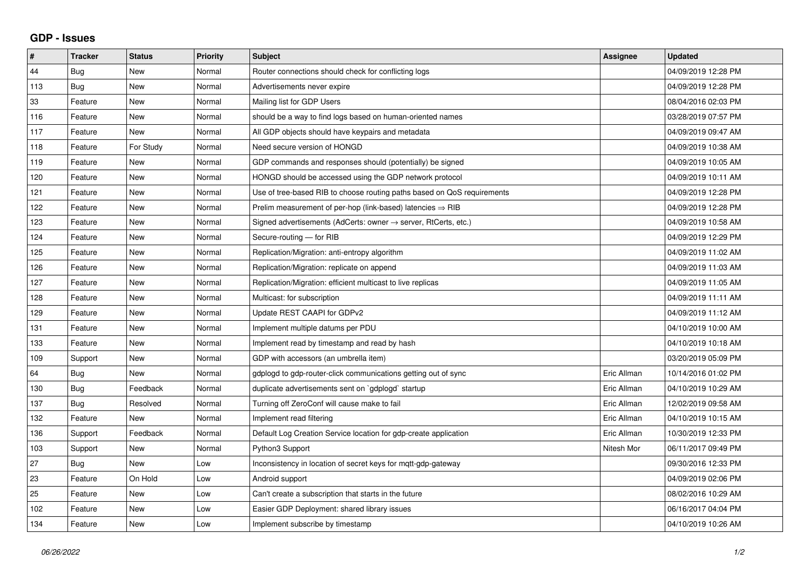## **GDP - Issues**

| #   | <b>Tracker</b> | <b>Status</b> | <b>Priority</b> | <b>Subject</b>                                                             | Assignee    | <b>Updated</b>      |
|-----|----------------|---------------|-----------------|----------------------------------------------------------------------------|-------------|---------------------|
| 44  | Bug            | <b>New</b>    | Normal          | Router connections should check for conflicting logs                       |             | 04/09/2019 12:28 PM |
| 113 | Bug            | <b>New</b>    | Normal          | Advertisements never expire                                                |             | 04/09/2019 12:28 PM |
| 33  | Feature        | <b>New</b>    | Normal          | Mailing list for GDP Users                                                 |             | 08/04/2016 02:03 PM |
| 116 | Feature        | <b>New</b>    | Normal          | should be a way to find logs based on human-oriented names                 |             | 03/28/2019 07:57 PM |
| 117 | Feature        | <b>New</b>    | Normal          | All GDP objects should have keypairs and metadata                          |             | 04/09/2019 09:47 AM |
| 118 | Feature        | For Study     | Normal          | Need secure version of HONGD                                               |             | 04/09/2019 10:38 AM |
| 119 | Feature        | <b>New</b>    | Normal          | GDP commands and responses should (potentially) be signed                  |             | 04/09/2019 10:05 AM |
| 120 | Feature        | <b>New</b>    | Normal          | HONGD should be accessed using the GDP network protocol                    |             | 04/09/2019 10:11 AM |
| 121 | Feature        | <b>New</b>    | Normal          | Use of tree-based RIB to choose routing paths based on QoS requirements    |             | 04/09/2019 12:28 PM |
| 122 | Feature        | <b>New</b>    | Normal          | Prelim measurement of per-hop (link-based) latencies $\Rightarrow$ RIB     |             | 04/09/2019 12:28 PM |
| 123 | Feature        | <b>New</b>    | Normal          | Signed advertisements (AdCerts: owner $\rightarrow$ server, RtCerts, etc.) |             | 04/09/2019 10:58 AM |
| 124 | Feature        | <b>New</b>    | Normal          | Secure-routing - for RIB                                                   |             | 04/09/2019 12:29 PM |
| 125 | Feature        | <b>New</b>    | Normal          | Replication/Migration: anti-entropy algorithm                              |             | 04/09/2019 11:02 AM |
| 126 | Feature        | <b>New</b>    | Normal          | Replication/Migration: replicate on append                                 |             | 04/09/2019 11:03 AM |
| 127 | Feature        | <b>New</b>    | Normal          | Replication/Migration: efficient multicast to live replicas                |             | 04/09/2019 11:05 AM |
| 128 | Feature        | <b>New</b>    | Normal          | Multicast: for subscription                                                |             | 04/09/2019 11:11 AM |
| 129 | Feature        | <b>New</b>    | Normal          | Update REST CAAPI for GDPv2                                                |             | 04/09/2019 11:12 AM |
| 131 | Feature        | <b>New</b>    | Normal          | Implement multiple datums per PDU                                          |             | 04/10/2019 10:00 AM |
| 133 | Feature        | <b>New</b>    | Normal          | Implement read by timestamp and read by hash                               |             | 04/10/2019 10:18 AM |
| 109 | Support        | <b>New</b>    | Normal          | GDP with accessors (an umbrella item)                                      |             | 03/20/2019 05:09 PM |
| 64  | Bug            | <b>New</b>    | Normal          | gdplogd to gdp-router-click communications getting out of sync             | Eric Allman | 10/14/2016 01:02 PM |
| 130 | Bug            | Feedback      | Normal          | duplicate advertisements sent on `gdplogd` startup                         | Eric Allman | 04/10/2019 10:29 AM |
| 137 | Bug            | Resolved      | Normal          | Turning off ZeroConf will cause make to fail                               | Eric Allman | 12/02/2019 09:58 AM |
| 132 | Feature        | <b>New</b>    | Normal          | Implement read filtering                                                   | Eric Allman | 04/10/2019 10:15 AM |
| 136 | Support        | Feedback      | Normal          | Default Log Creation Service location for gdp-create application           | Eric Allman | 10/30/2019 12:33 PM |
| 103 | Support        | <b>New</b>    | Normal          | Python3 Support                                                            | Nitesh Mor  | 06/11/2017 09:49 PM |
| 27  | <b>Bug</b>     | <b>New</b>    | Low             | Inconsistency in location of secret keys for mgtt-gdp-gateway              |             | 09/30/2016 12:33 PM |
| 23  | Feature        | On Hold       | Low             | Android support                                                            |             | 04/09/2019 02:06 PM |
| 25  | Feature        | <b>New</b>    | Low             | Can't create a subscription that starts in the future                      |             | 08/02/2016 10:29 AM |
| 102 | Feature        | <b>New</b>    | Low             | Easier GDP Deployment: shared library issues                               |             | 06/16/2017 04:04 PM |
| 134 | Feature        | New           | Low             | Implement subscribe by timestamp                                           |             | 04/10/2019 10:26 AM |